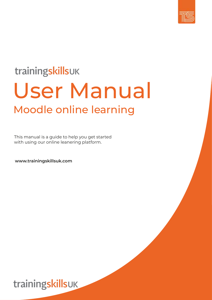

# trainingskillsuk User Manual Moodle online learning

This manual is a guide to help you get started with using our online leanering platform.

**www.trainingskillsuk.com**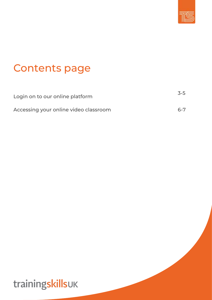

# Contents page

| Login on to our online platform       | $3-5$   |
|---------------------------------------|---------|
| Accessing your online video classroom | $6 - 7$ |

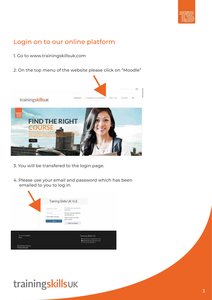

#### Login on to our online platform

- 1. Go to www.trainingskillsuk.com
- 2. On the top menu of the website please click on "Moodle"



- 3. You will be transfered to the login page.
- 4. Please use your email and password which has been emailed to you to log in.

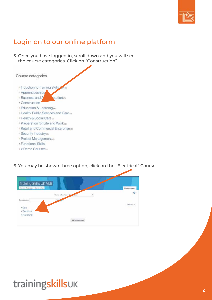

#### Login on to our online platform

5. Once you have logged in, scroll down and you will see the course categories. Click on "Construction"

Course categories

- <sup>3</sup> Induction to Training Skills
- **Apprenticeships**
- **Business and A** tration (5)
- ▶ Construction
- > Education & Learning (6)
- <sup>1</sup> Health, Public Services and Care and
- > Health & Social Care at
- <sup>D</sup> Preparation for Life and Work (6)
- Retail and Commercial Enterprise (6)
- <sup>D</sup> Security Industry (4)
- Project Management as
- ▶ Functional Skills
- <sup>1</sup> z Demo Courses m
- 6. You may be shown three option, click on the "Electrical" Course.

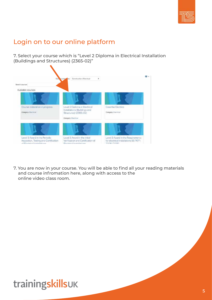

#### Login on to our online platform

7. Select your course which is "Level 2 Diploma in Electrical Installation (Buildings and Structures) (2365-02)"



7. You are now in your course. You will be able to find all your reading materials and course infromation here, along with access to the online video class room.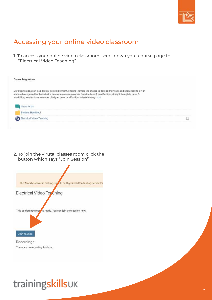

#### Accessing your online video classroom

1. To access your online video classroom, scroll down your course page to "Electrical Video Teaching"

| <b>Career Progression</b>                                                                                                                                                                                                                                                                                                                                                                                                        |  |
|----------------------------------------------------------------------------------------------------------------------------------------------------------------------------------------------------------------------------------------------------------------------------------------------------------------------------------------------------------------------------------------------------------------------------------|--|
| Our qualifications can lead directly into employment, offering learners the chance to develop their skills and knowledge to a high<br>standard recognised by the industry. Learners may also progress from the Level 2 qualifications straight through to Level 3.<br>In addition, we also have a number of Higher Level qualifications offered through ILM.<br>a masa ya mwaka wa katika 2012, alikuwa mwaka 2012<br>News forum |  |
| Student Handbook                                                                                                                                                                                                                                                                                                                                                                                                                 |  |
| Electrical Video Teaching                                                                                                                                                                                                                                                                                                                                                                                                        |  |

2. To join the virutal classes room click the button which says "Join Session"



There are no recording to show.